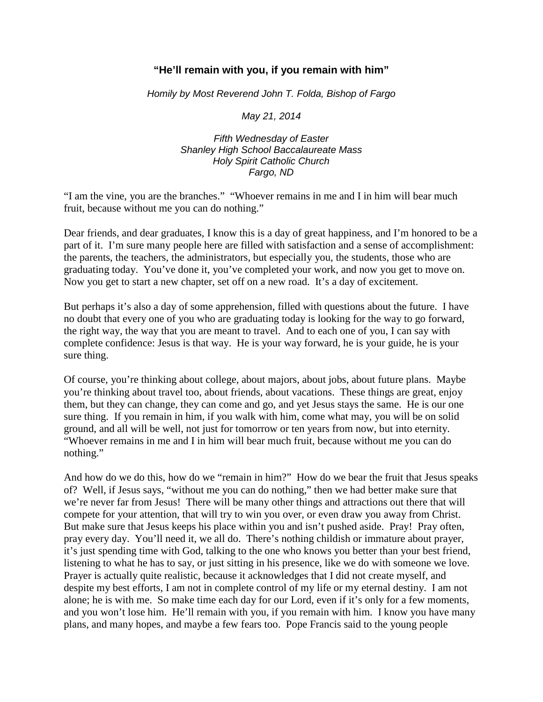## **"He'll remain with you, if you remain with him"**

*Homily by Most Reverend John T. Folda, Bishop of Fargo*

*May 21, 2014*

*Fifth Wednesday of Easter Shanley High School Baccalaureate Mass Holy Spirit Catholic Church Fargo, ND*

"I am the vine, you are the branches." "Whoever remains in me and I in him will bear much fruit, because without me you can do nothing."

Dear friends, and dear graduates, I know this is a day of great happiness, and I'm honored to be a part of it. I'm sure many people here are filled with satisfaction and a sense of accomplishment: the parents, the teachers, the administrators, but especially you, the students, those who are graduating today. You've done it, you've completed your work, and now you get to move on. Now you get to start a new chapter, set off on a new road. It's a day of excitement.

But perhaps it's also a day of some apprehension, filled with questions about the future. I have no doubt that every one of you who are graduating today is looking for the way to go forward, the right way, the way that you are meant to travel. And to each one of you, I can say with complete confidence: Jesus is that way. He is your way forward, he is your guide, he is your sure thing.

Of course, you're thinking about college, about majors, about jobs, about future plans. Maybe you're thinking about travel too, about friends, about vacations. These things are great, enjoy them, but they can change, they can come and go, and yet Jesus stays the same. He is our one sure thing. If you remain in him, if you walk with him, come what may, you will be on solid ground, and all will be well, not just for tomorrow or ten years from now, but into eternity. "Whoever remains in me and I in him will bear much fruit, because without me you can do nothing."

And how do we do this, how do we "remain in him?" How do we bear the fruit that Jesus speaks of? Well, if Jesus says, "without me you can do nothing," then we had better make sure that we're never far from Jesus! There will be many other things and attractions out there that will compete for your attention, that will try to win you over, or even draw you away from Christ. But make sure that Jesus keeps his place within you and isn't pushed aside. Pray! Pray often, pray every day. You'll need it, we all do. There's nothing childish or immature about prayer, it's just spending time with God, talking to the one who knows you better than your best friend, listening to what he has to say, or just sitting in his presence, like we do with someone we love. Prayer is actually quite realistic, because it acknowledges that I did not create myself, and despite my best efforts, I am not in complete control of my life or my eternal destiny. I am not alone; he is with me. So make time each day for our Lord, even if it's only for a few moments, and you won't lose him. He'll remain with you, if you remain with him. I know you have many plans, and many hopes, and maybe a few fears too. Pope Francis said to the young people